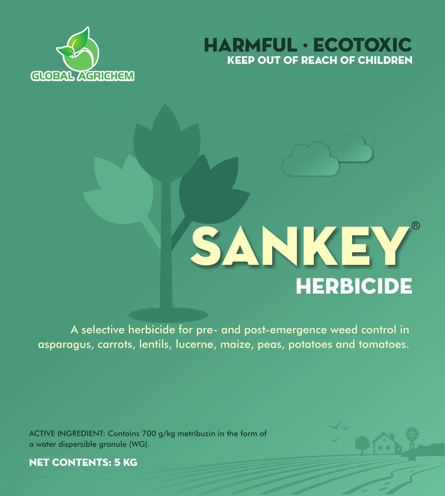



# **HERBICIDE SANKEY®**

A selective herbicide for pre- and post-emergence weed control in asparagus, carrots, lentils, lucerne, maize, peas, potatoes and tomatoes.

ACTIVE INGREDIENT: Contains 700 g/kg metribuzin in the form of a water dispersible granule (WG).



NET CONTENTS: 5 KG